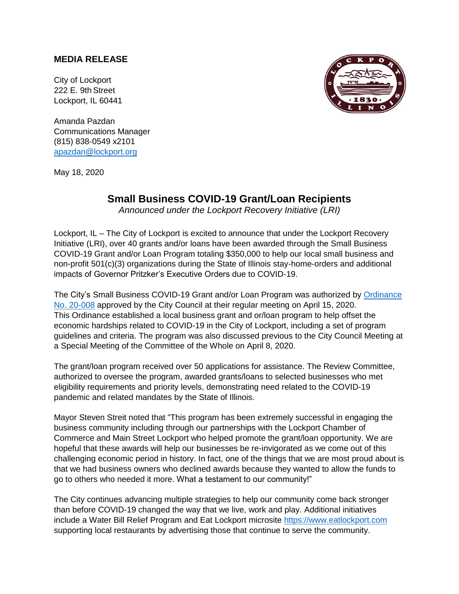## **MEDIA RELEASE**

City of Lockport 222 E. 9th Street Lockport, IL 60441

Amanda Pazdan Communications Manager (815) 838-0549 x2101 [apazdan@lockport.org](mailto:apazdan@lockport.org)

May 18, 2020



## **Small Business COVID-19 Grant/Loan Recipients**

*Announced under the Lockport Recovery Initiative (LRI)*

Lockport, IL – The City of Lockport is excited to announce that under the Lockport Recovery Initiative (LRI), over 40 grants and/or loans have been awarded through the Small Business COVID-19 Grant and/or Loan Program totaling \$350,000 to help our local small business and non-profit 501(c)(3) organizations during the State of Illinois stay-home-orders and additional impacts of Governor Pritzker's Executive Orders due to COVID-19.

The City's Small Business COVID-19 Grant and/or Loan Program was authorized by [Ordinance](http://www.cityoflockport.net/DocumentCenter/View/3466/Ordinance-20-008-Sm-Business-Grant-and-Loan-Program-Response-to-COVID-19?bidId=)  [No. 20-008](http://www.cityoflockport.net/DocumentCenter/View/3466/Ordinance-20-008-Sm-Business-Grant-and-Loan-Program-Response-to-COVID-19?bidId=) approved by the City Council at their regular meeting on April 15, 2020. This Ordinance established a local business grant and or/loan program to help offset the economic hardships related to COVID-19 in the City of Lockport, including a set of program guidelines and criteria. The program was also discussed previous to the City Council Meeting at a Special Meeting of the Committee of the Whole on April 8, 2020.

The grant/loan program received over 50 applications for assistance. The Review Committee, authorized to oversee the program, awarded grants/loans to selected businesses who met eligibility requirements and priority levels, demonstrating need related to the COVID-19 pandemic and related mandates by the State of Illinois.

Mayor Steven Streit noted that "This program has been extremely successful in engaging the business community including through our partnerships with the Lockport Chamber of Commerce and Main Street Lockport who helped promote the grant/loan opportunity. We are hopeful that these awards will help our businesses be re-invigorated as we come out of this challenging economic period in history. In fact, one of the things that we are most proud about is that we had business owners who declined awards because they wanted to allow the funds to go to others who needed it more. What a testament to our community!"

The City continues advancing multiple strategies to help our community come back stronger than before COVID-19 changed the way that we live, work and play. Additional initiatives include a Water Bill Relief Program and Eat Lockport microsite [https://www.eatlockport.com](https://www.eatlockport.com/) supporting local restaurants by advertising those that continue to serve the community.